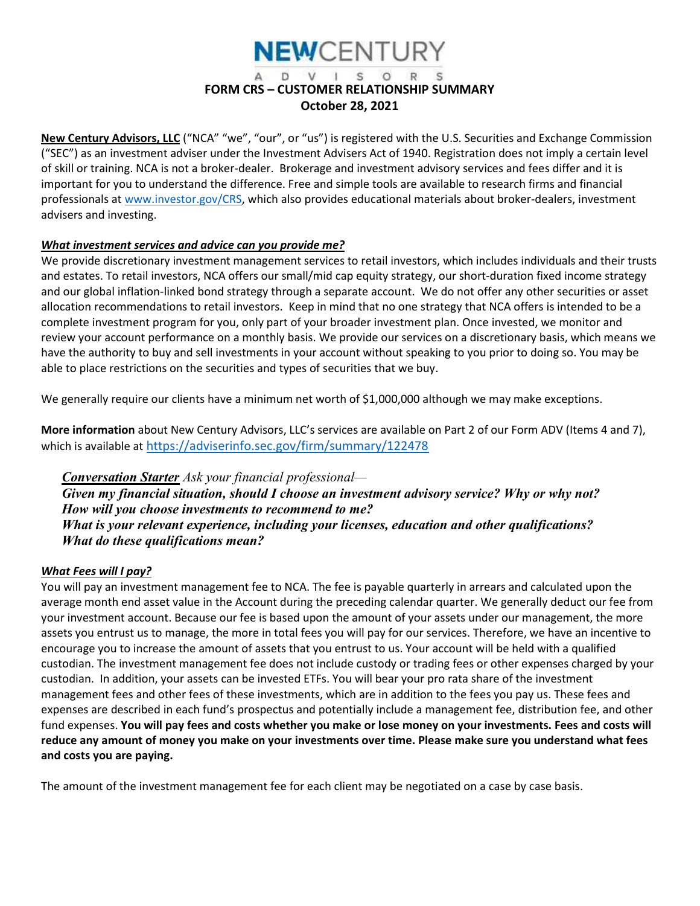## **NEWCENTURY**

#### D V I S O R S FORM CRS – CUSTOMER RELATIONSHIP SUMMARY October 28, 2021

New Century Advisors, LLC ("NCA" "we", "our", or "us") is registered with the U.S. Securities and Exchange Commission ("SEC") as an investment adviser under the Investment Advisers Act of 1940. Registration does not imply a certain level of skill or training. NCA is not a broker-dealer. Brokerage and investment advisory services and fees differ and it is important for you to understand the difference. Free and simple tools are available to research firms and financial professionals at www.investor.gov/CRS, which also provides educational materials about broker-dealers, investment advisers and investing.

#### What investment services and advice can you provide me?

We provide discretionary investment management services to retail investors, which includes individuals and their trusts and estates. To retail investors, NCA offers our small/mid cap equity strategy, our short-duration fixed income strategy and our global inflation-linked bond strategy through a separate account. We do not offer any other securities or asset allocation recommendations to retail investors. Keep in mind that no one strategy that NCA offers is intended to be a complete investment program for you, only part of your broader investment plan. Once invested, we monitor and review your account performance on a monthly basis. We provide our services on a discretionary basis, which means we have the authority to buy and sell investments in your account without speaking to you prior to doing so. You may be able to place restrictions on the securities and types of securities that we buy.

We generally require our clients have a minimum net worth of \$1,000,000 although we may make exceptions.

More information about New Century Advisors, LLC's services are available on Part 2 of our Form ADV (Items 4 and 7), which is available at https://adviserinfo.sec.gov/firm/summary/122478

**Conversation Starter** Ask your financial professional— Given my financial situation, should I choose an investment advisory service? Why or why not? How will you choose investments to recommend to me? What is your relevant experience, including your licenses, education and other qualifications? What do these qualifications mean?

#### What Fees will I pay?

You will pay an investment management fee to NCA. The fee is payable quarterly in arrears and calculated upon the average month end asset value in the Account during the preceding calendar quarter. We generally deduct our fee from your investment account. Because our fee is based upon the amount of your assets under our management, the more assets you entrust us to manage, the more in total fees you will pay for our services. Therefore, we have an incentive to encourage you to increase the amount of assets that you entrust to us. Your account will be held with a qualified custodian. The investment management fee does not include custody or trading fees or other expenses charged by your custodian. In addition, your assets can be invested ETFs. You will bear your pro rata share of the investment management fees and other fees of these investments, which are in addition to the fees you pay us. These fees and expenses are described in each fund's prospectus and potentially include a management fee, distribution fee, and other fund expenses. You will pay fees and costs whether you make or lose money on your investments. Fees and costs will reduce any amount of money you make on your investments over time. Please make sure you understand what fees and costs you are paying.

The amount of the investment management fee for each client may be negotiated on a case by case basis.